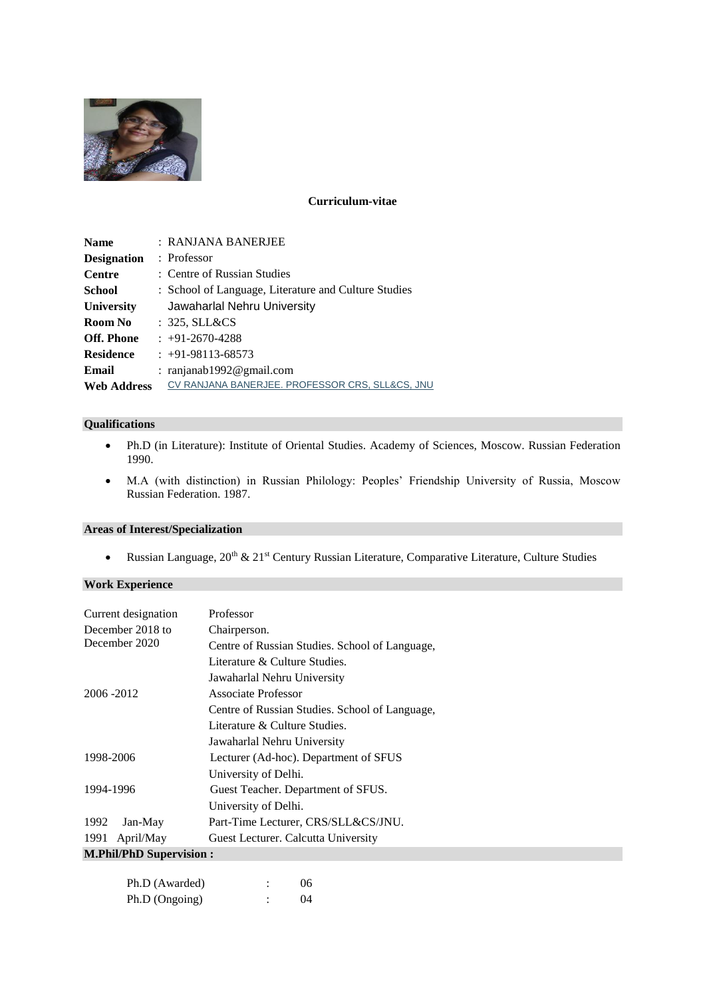

#### **Curriculum-vitae**

| <b>Name</b>        | : RANJANA BANERJEE                                   |
|--------------------|------------------------------------------------------|
| <b>Designation</b> | $:$ Professor                                        |
| <b>Centre</b>      | : Centre of Russian Studies                          |
| <b>School</b>      | : School of Language, Literature and Culture Studies |
| <b>University</b>  | Jawaharlal Nehru University                          |
| Room No            | : 325, SLL&CS                                        |
| <b>Off. Phone</b>  | $: +91-2670-4288$                                    |
| <b>Residence</b>   | $: +91-98113-68573$                                  |
| Email              | : ranjanab1992@gmail.com                             |
| <b>Web Address</b> | CV RANJANA BANERJEE. PROFESSOR CRS, SLL&CS, JNU      |

#### **Qualifications**

- Ph.D (in Literature): Institute of Oriental Studies. Academy of Sciences, Moscow. Russian Federation 1990.
- M.A (with distinction) in Russian Philology: Peoples' Friendship University of Russia, Moscow Russian Federation. 1987.

#### **Areas of Interest/Specialization**

• Russian Language, 20<sup>th</sup> & 21<sup>st</sup> Century Russian Literature, Comparative Literature, Culture Studies

## **Work Experience**

| Current designation            | Professor                                      |
|--------------------------------|------------------------------------------------|
| December 2018 to               | Chairperson.                                   |
| December 2020                  | Centre of Russian Studies. School of Language, |
|                                | Literature & Culture Studies.                  |
|                                | Jawaharlal Nehru University                    |
| 2006 - 2012                    | Associate Professor                            |
|                                | Centre of Russian Studies. School of Language, |
|                                | Literature & Culture Studies.                  |
|                                | Jawaharlal Nehru University                    |
| 1998-2006                      | Lecturer (Ad-hoc). Department of SFUS          |
|                                | University of Delhi.                           |
| 1994-1996                      | Guest Teacher. Department of SFUS.             |
|                                | University of Delhi.                           |
| 1992<br>Jan-May                | Part-Time Lecturer, CRS/SLL&CS/JNU.            |
| 1991 April/May                 | Guest Lecturer. Calcutta University            |
| <b>M.Phil/PhD Supervision:</b> |                                                |

| Ph.D (Awarded) | 06        |
|----------------|-----------|
| Ph.D (Ongoing) | $^{(14)}$ |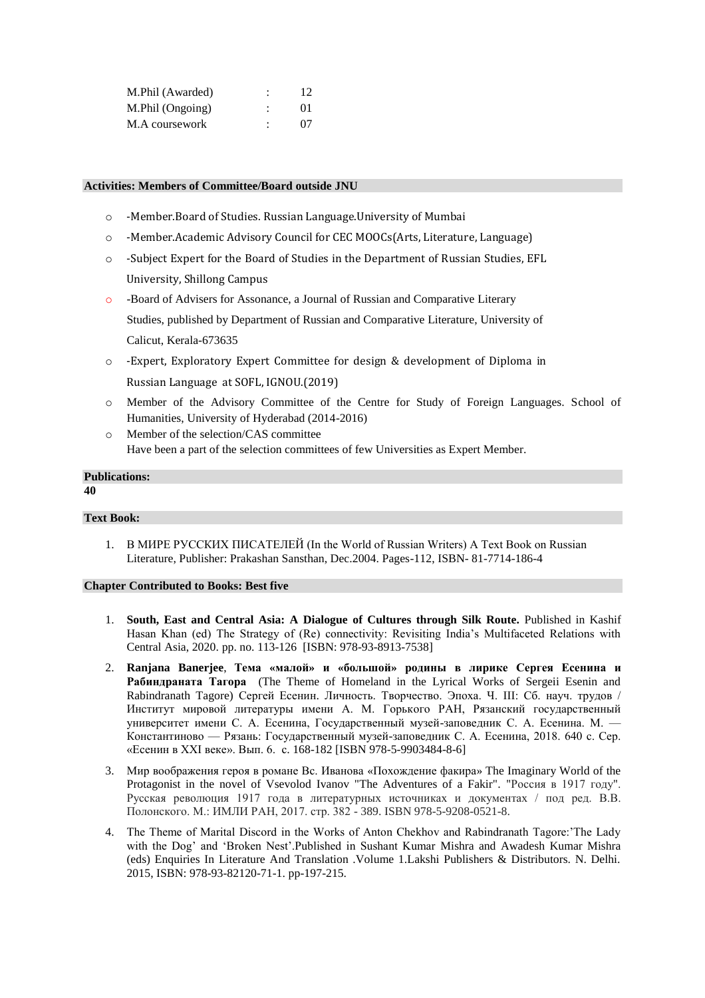| M.Phil (Awarded) | ٠              | 12      |
|------------------|----------------|---------|
| M.Phil (Ongoing) | $\ddot{\cdot}$ | $^{01}$ |
| M.A coursework   | ٠              | $^{07}$ |

#### **Activities: Members of Committee/Board outside JNU**

- o -Member.Board of Studies. Russian Language.University of Mumbai
- o -Member.Academic Advisory Council for CEC MOOCs(Arts, Literature, Language)
- o -Subject Expert for the Board of Studies in the Department of Russian Studies, EFL University, Shillong Campus
- o -Board of Advisers for Assonance, a Journal of Russian and Comparative Literary Studies, published by Department of Russian and Comparative Literature, University of Calicut, Kerala-673635
- o -Expert, Exploratory Expert Committee for design & development of Diploma in Russian Language at SOFL, IGNOU.(2019)
- o Member of the Advisory Committee of the Centre for Study of Foreign Languages. School of Humanities, University of Hyderabad (2014-2016)
- o Member of the selection/CAS committee Have been a part of the selection committees of few Universities as Expert Member.

# **Publications:**

### **40**

### **Text Book:**

1. В МИРЕ РУССКИХ ПИСАТЕЛЕЙ (In the World of Russian Writers) A Text Book on Russian Literature, Publisher: Prakashan Sansthan, Dec.2004. Pages-112, ISBN- 81-7714-186-4

#### **Chapter Contributed to Books: Best five**

- 1. **South, East and Central Asia: A Dialogue of Cultures through Silk Route.** Published in Kashif Hasan Khan (ed) The Strategy of (Re) connectivity: Revisiting India's Multifaceted Relations with Central Asia, 2020. pp. no. 113-126 [ISBN: 978-93-8913-7538]
- 2. **Ranjana Banerjee**, **Тема «малой» и «большой» родины в лирике Сергея Есенина и Рабиндраната Тагора** (The Theme of Homeland in the Lyrical Works of Sergeii Esenin and Rabindranath Tagore) Сергей Есенин. Личность. Творчество. Эпоха. Ч. III: Сб. науч. трудов / Институт мировой литературы имени А. М. Горького РАН, Рязанский государственный университет имени С. А. Есенина, Государственный музей-заповедник С. А. Есенина. М. — Константиново — Рязань: Государственный музей-заповедник С. А. Есенина, 2018. 640 с. Сер. «Есенин в XXI веке». Вып. 6. с. 168-182 [ISBN 978-5-9903484-8-6]
- 3. Мир воображения героя в романе Вс. Иванова «Похождение факира» The Imaginary World of the Protagonist in the novel of Vsevolod Ivanov "The Adventures of a Fakir". "Россия в 1917 году". Русская революция 1917 года в литературных источниках и документах / под ред. В.В. Полонского. М.: ИМЛИ РАН, 2017. стр. 382 - 389. ISBN 978-5-9208-0521-8.
- 4. The Theme of Marital Discord in the Works of Anton Chekhov and Rabindranath Tagore:'The Lady with the Dog' and 'Broken Nest'.Published in Sushant Kumar Mishra and Awadesh Kumar Mishra (eds) Enquiries In Literature And Translation .Volume 1.Lakshi Publishers & Distributors. N. Delhi. 2015, ISBN: 978-93-82120-71-1. pp-197-215.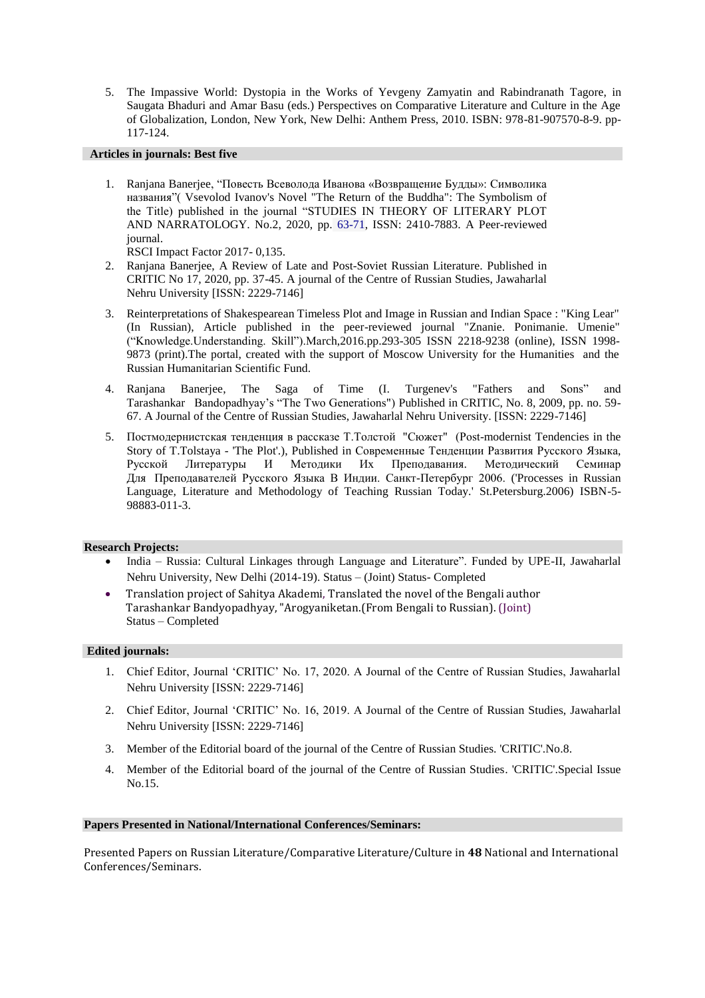5. The Impassive World: Dystopia in the Works of Yevgeny Zamyatin and Rabindranath Tagore, in Saugata Bhaduri and Amar Basu (eds.) Perspectives on Comparative Literature and Culture in the Age of Globalization, London, New York, New Delhi: Anthem Press, 2010. ISBN: 978-81-907570-8-9. pp-117-124.

#### **Articles in journals: Best five**

1. Ranjana Banerjee, "Повесть Всеволода Иванова «Возвращение Будды»: Символика названия"( Vsevolod Ivanov's Novel "The Return of the Buddha": The Symbolism of the Title) published in the journal "STUDIES IN THEORY OF LITERARY PLOT AND NARRATOLOGY. No.2, 2020, pp. 63-71, ISSN: 2410-7883. A Peer-reviewed journal.

RSCI Impact Factor 2017- 0,135.

- 2. Ranjana Banerjee, A Review of Late and Post-Soviet Russian Literature. Published in CRITIC No 17, 2020, pp. 37-45. A journal of the Centre of Russian Studies, Jawaharlal Nehru University [ISSN: 2229-7146]
- 3. Reinterpretations of Shakespearean Timeless Plot and Image in Russian and Indian Space : "King Lear" (In Russian), Article published in the peer-reviewed journal "Znanie. Ponimanie. Umenie" ("Knowledge.Understanding. Skill").March,2016.pp.293-305 ISSN 2218-9238 (online), ISSN 1998- 9873 (print).The portal, created with the support of Moscow University for the Humanities and the Russian Humanitarian Scientific Fund.
- 4. Ranjana Banerjee, The Saga of Time (I. Turgenev's "Fathers and Sons" and Tarashankar Bandopadhyay's "The Two Generations") Published in CRITIC, No. 8, 2009, pp. no. 59- 67. A Journal of the Centre of Russian Studies, Jawaharlal Nehru University. [ISSN: 2229-7146]
- 5. Постмодернистская тенденция в рассказе Т.Толстой "Сюжет" (Post-modernist Tendencies in the Story of T.Tolstaya - 'The Plot'.), Published in Современные Тенденции Развития Русского Языка, Русской Литературы И Методики Их Преподавания. Методический Семинар Для Преподавателей Русского Языка В Индии. Санкт-Петербург 2006. ('Processes in Russian Language, Literature and Methodology of Teaching Russian Today.' St.Petersburg.2006) ISBN-5- 98883-011-3.

#### **Research Projects:**

- India Russia: Cultural Linkages through Language and Literature". Funded by UPE-II, Jawaharlal Nehru University, New Delhi (2014-19). Status – (Joint) Status- Completed
- Translation project of Sahitya Akademi, Translated the novel of the Bengali author Tarashankar Bandyopadhyay, "Arogyaniketan.(From Bengali to Russian). (Joint) Status – Completed

#### **Edited journals:**

- 1. Chief Editor, Journal 'CRITIC' No. 17, 2020. A Journal of the Centre of Russian Studies, Jawaharlal Nehru University [ISSN: 2229-7146]
- 2. Chief Editor, Journal 'CRITIC' No. 16, 2019. A Journal of the Centre of Russian Studies, Jawaharlal Nehru University [ISSN: 2229-7146]
- 3. Member of the Editorial board of the journal of the Centre of Russian Studies. 'CRITIC'.No.8.
- 4. Member of the Editorial board of the journal of the Centre of Russian Studies. 'CRITIC'.Special Issue No.15.

#### **Papers Presented in National/International Conferences/Seminars:**

Presented Papers on Russian Literature/Comparative Literature/Culture in **48** National and International Conferences/Seminars.